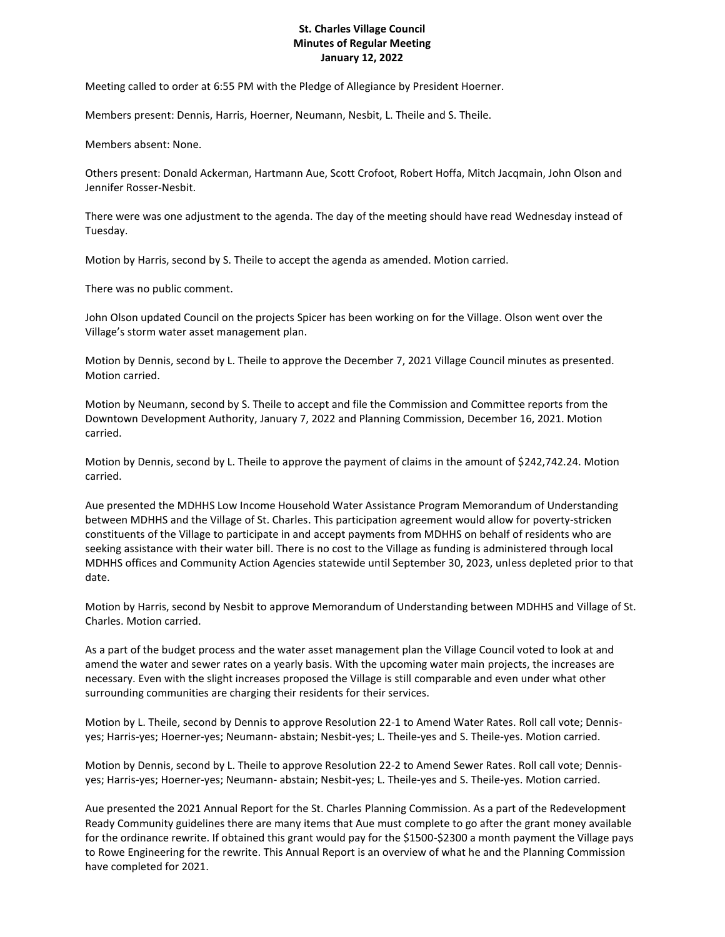## **St. Charles Village Council Minutes of Regular Meeting January 12, 2022**

Meeting called to order at 6:55 PM with the Pledge of Allegiance by President Hoerner.

Members present: Dennis, Harris, Hoerner, Neumann, Nesbit, L. Theile and S. Theile.

Members absent: None.

Others present: Donald Ackerman, Hartmann Aue, Scott Crofoot, Robert Hoffa, Mitch Jacqmain, John Olson and Jennifer Rosser-Nesbit.

There were was one adjustment to the agenda. The day of the meeting should have read Wednesday instead of Tuesday.

Motion by Harris, second by S. Theile to accept the agenda as amended. Motion carried.

There was no public comment.

John Olson updated Council on the projects Spicer has been working on for the Village. Olson went over the Village's storm water asset management plan.

Motion by Dennis, second by L. Theile to approve the December 7, 2021 Village Council minutes as presented. Motion carried.

Motion by Neumann, second by S. Theile to accept and file the Commission and Committee reports from the Downtown Development Authority, January 7, 2022 and Planning Commission, December 16, 2021. Motion carried.

Motion by Dennis, second by L. Theile to approve the payment of claims in the amount of \$242,742.24. Motion carried.

Aue presented the MDHHS Low Income Household Water Assistance Program Memorandum of Understanding between MDHHS and the Village of St. Charles. This participation agreement would allow for poverty-stricken constituents of the Village to participate in and accept payments from MDHHS on behalf of residents who are seeking assistance with their water bill. There is no cost to the Village as funding is administered through local MDHHS offices and Community Action Agencies statewide until September 30, 2023, unless depleted prior to that date.

Motion by Harris, second by Nesbit to approve Memorandum of Understanding between MDHHS and Village of St. Charles. Motion carried.

As a part of the budget process and the water asset management plan the Village Council voted to look at and amend the water and sewer rates on a yearly basis. With the upcoming water main projects, the increases are necessary. Even with the slight increases proposed the Village is still comparable and even under what other surrounding communities are charging their residents for their services.

Motion by L. Theile, second by Dennis to approve Resolution 22-1 to Amend Water Rates. Roll call vote; Dennisyes; Harris-yes; Hoerner-yes; Neumann- abstain; Nesbit-yes; L. Theile-yes and S. Theile-yes. Motion carried.

Motion by Dennis, second by L. Theile to approve Resolution 22-2 to Amend Sewer Rates. Roll call vote; Dennisyes; Harris-yes; Hoerner-yes; Neumann- abstain; Nesbit-yes; L. Theile-yes and S. Theile-yes. Motion carried.

Aue presented the 2021 Annual Report for the St. Charles Planning Commission. As a part of the Redevelopment Ready Community guidelines there are many items that Aue must complete to go after the grant money available for the ordinance rewrite. If obtained this grant would pay for the \$1500-\$2300 a month payment the Village pays to Rowe Engineering for the rewrite. This Annual Report is an overview of what he and the Planning Commission have completed for 2021.